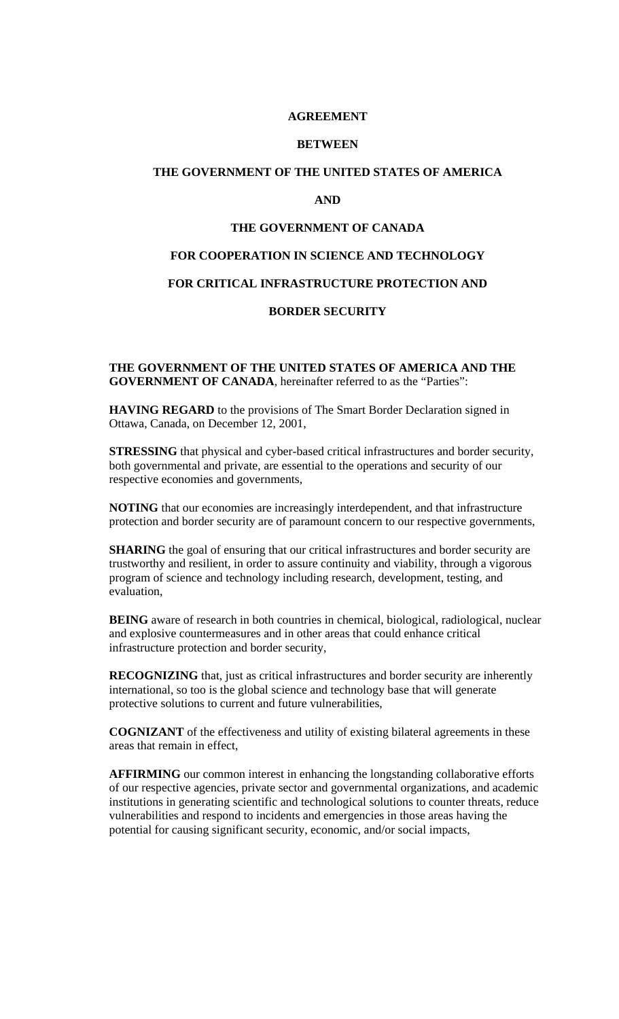#### **AGREEMENT**

#### **BETWEEN**

## **THE GOVERNMENT OF THE UNITED STATES OF AMERICA**

## **AND**

### **THE GOVERNMENT OF CANADA**

# **FOR COOPERATION IN SCIENCE AND TECHNOLOGY**

# **FOR CRITICAL INFRASTRUCTURE PROTECTION AND**

## **BORDER SECURITY**

### **THE GOVERNMENT OF THE UNITED STATES OF AMERICA AND THE GOVERNMENT OF CANADA**, hereinafter referred to as the "Parties":

**HAVING REGARD** to the provisions of The Smart Border Declaration signed in Ottawa, Canada, on December 12, 2001,

**STRESSING** that physical and cyber-based critical infrastructures and border security, both governmental and private, are essential to the operations and security of our respective economies and governments,

**NOTING** that our economies are increasingly interdependent, and that infrastructure protection and border security are of paramount concern to our respective governments,

**SHARING** the goal of ensuring that our critical infrastructures and border security are trustworthy and resilient, in order to assure continuity and viability, through a vigorous program of science and technology including research, development, testing, and evaluation,

**BEING** aware of research in both countries in chemical, biological, radiological, nuclear and explosive countermeasures and in other areas that could enhance critical infrastructure protection and border security,

**RECOGNIZING** that, just as critical infrastructures and border security are inherently international, so too is the global science and technology base that will generate protective solutions to current and future vulnerabilities,

**COGNIZANT** of the effectiveness and utility of existing bilateral agreements in these areas that remain in effect,

**AFFIRMING** our common interest in enhancing the longstanding collaborative efforts of our respective agencies, private sector and governmental organizations, and academic institutions in generating scientific and technological solutions to counter threats, reduce vulnerabilities and respond to incidents and emergencies in those areas having the potential for causing significant security, economic, and/or social impacts,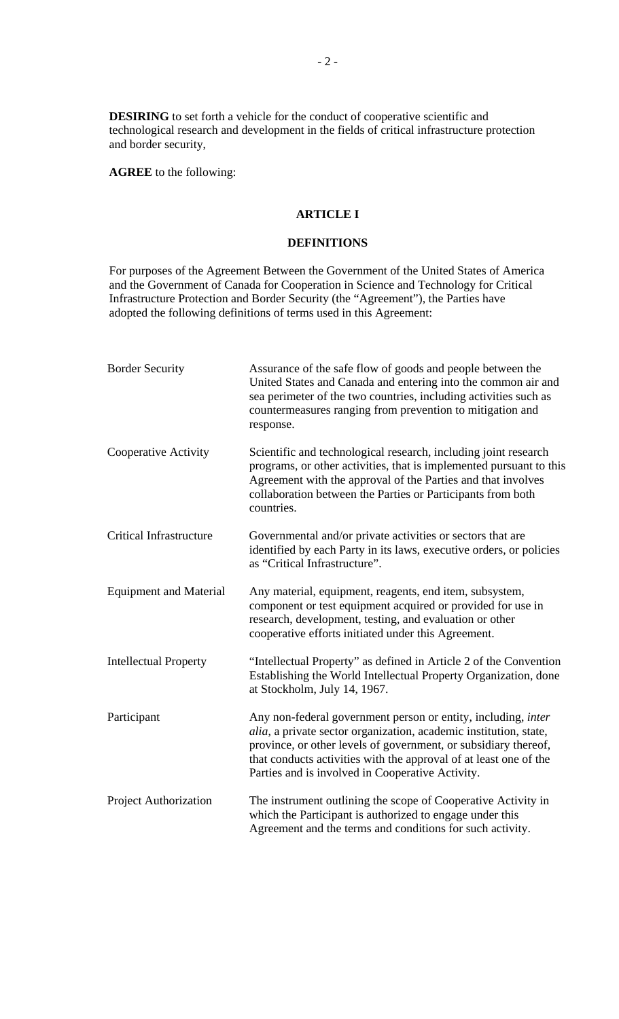**DESIRING** to set forth a vehicle for the conduct of cooperative scientific and technological research and development in the fields of critical infrastructure protection and border security,

**AGREE** to the following:

# **ARTICLE I**

#### **DEFINITIONS**

For purposes of the Agreement Between the Government of the United States of America and the Government of Canada for Cooperation in Science and Technology for Critical Infrastructure Protection and Border Security (the "Agreement"), the Parties have adopted the following definitions of terms used in this Agreement:

| <b>Border Security</b>         | Assurance of the safe flow of goods and people between the<br>United States and Canada and entering into the common air and<br>sea perimeter of the two countries, including activities such as<br>countermeasures ranging from prevention to mitigation and<br>response.                                                             |
|--------------------------------|---------------------------------------------------------------------------------------------------------------------------------------------------------------------------------------------------------------------------------------------------------------------------------------------------------------------------------------|
| Cooperative Activity           | Scientific and technological research, including joint research<br>programs, or other activities, that is implemented pursuant to this<br>Agreement with the approval of the Parties and that involves<br>collaboration between the Parties or Participants from both<br>countries.                                                   |
| <b>Critical Infrastructure</b> | Governmental and/or private activities or sectors that are<br>identified by each Party in its laws, executive orders, or policies<br>as "Critical Infrastructure".                                                                                                                                                                    |
| <b>Equipment and Material</b>  | Any material, equipment, reagents, end item, subsystem,<br>component or test equipment acquired or provided for use in<br>research, development, testing, and evaluation or other<br>cooperative efforts initiated under this Agreement.                                                                                              |
| <b>Intellectual Property</b>   | "Intellectual Property" as defined in Article 2 of the Convention<br>Establishing the World Intellectual Property Organization, done<br>at Stockholm, July 14, 1967.                                                                                                                                                                  |
| Participant                    | Any non-federal government person or entity, including, <i>inter</i><br>alia, a private sector organization, academic institution, state,<br>province, or other levels of government, or subsidiary thereof,<br>that conducts activities with the approval of at least one of the<br>Parties and is involved in Cooperative Activity. |
| Project Authorization          | The instrument outlining the scope of Cooperative Activity in<br>which the Participant is authorized to engage under this<br>Agreement and the terms and conditions for such activity.                                                                                                                                                |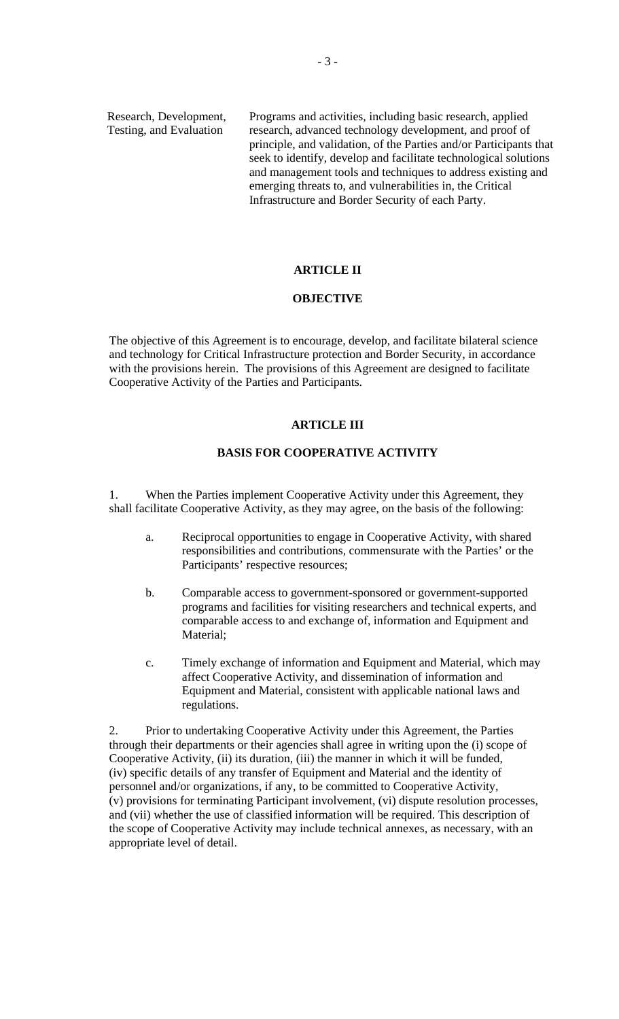Research, Development, Programs and activities, including basic research, applied Testing, and Evaluation research, advanced technology development, and proof of principle, and validation, of the Parties and/or Participants that seek to identify, develop and facilitate technological solutions and management tools and techniques to address existing and emerging threats to, and vulnerabilities in, the Critical Infrastructure and Border Security of each Party.

#### **ARTICLE II**

#### **OBJECTIVE**

The objective of this Agreement is to encourage, develop, and facilitate bilateral science and technology for Critical Infrastructure protection and Border Security, in accordance with the provisions herein. The provisions of this Agreement are designed to facilitate Cooperative Activity of the Parties and Participants.

### **ARTICLE III**

### **BASIS FOR COOPERATIVE ACTIVITY**

1. When the Parties implement Cooperative Activity under this Agreement, they shall facilitate Cooperative Activity, as they may agree, on the basis of the following:

- a. Reciprocal opportunities to engage in Cooperative Activity, with shared responsibilities and contributions, commensurate with the Parties' or the Participants' respective resources;
- b. Comparable access to government-sponsored or government-supported programs and facilities for visiting researchers and technical experts, and comparable access to and exchange of, information and Equipment and Material;
- c. Timely exchange of information and Equipment and Material, which may affect Cooperative Activity, and dissemination of information and Equipment and Material, consistent with applicable national laws and regulations.

2. Prior to undertaking Cooperative Activity under this Agreement, the Parties through their departments or their agencies shall agree in writing upon the (i) scope of Cooperative Activity, (ii) its duration, (iii) the manner in which it will be funded, (iv) specific details of any transfer of Equipment and Material and the identity of personnel and/or organizations, if any, to be committed to Cooperative Activity, (v) provisions for terminating Participant involvement, (vi) dispute resolution processes, and (vii) whether the use of classified information will be required. This description of the scope of Cooperative Activity may include technical annexes, as necessary, with an appropriate level of detail.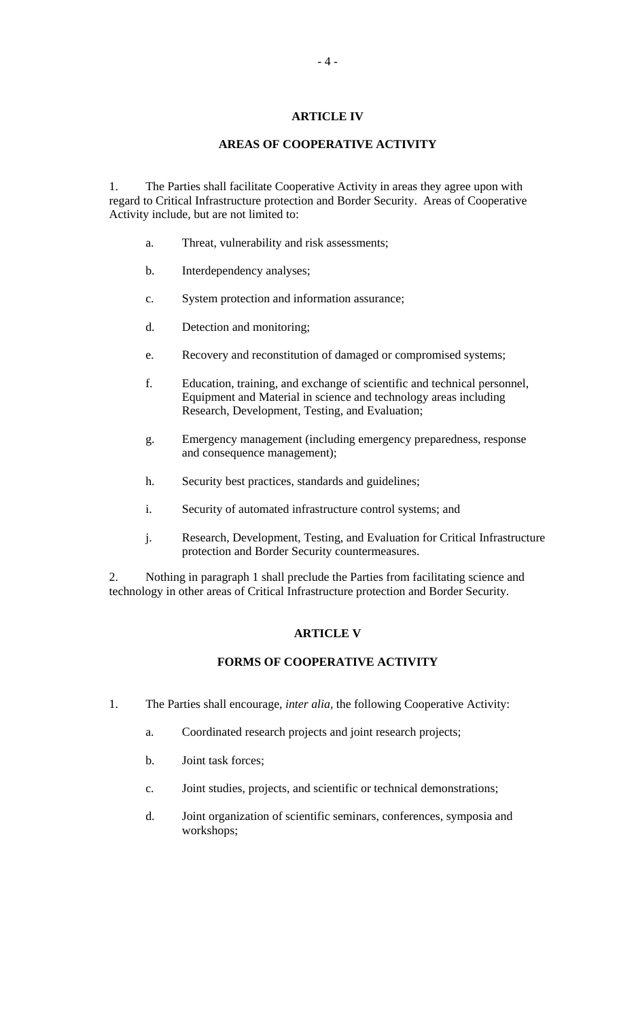# **ARTICLE IV**

## **AREAS OF COOPERATIVE ACTIVITY**

1. The Parties shall facilitate Cooperative Activity in areas they agree upon with regard to Critical Infrastructure protection and Border Security. Areas of Cooperative Activity include, but are not limited to:

- a. Threat, vulnerability and risk assessments;
- b. Interdependency analyses;
- c. System protection and information assurance;
- d. Detection and monitoring;
- e. Recovery and reconstitution of damaged or compromised systems;
- f. Education, training, and exchange of scientific and technical personnel, Equipment and Material in science and technology areas including Research, Development, Testing, and Evaluation;
- g. Emergency management (including emergency preparedness, response and consequence management);
- h. Security best practices, standards and guidelines;
- i. Security of automated infrastructure control systems; and
- j. Research, Development, Testing, and Evaluation for Critical Infrastructure protection and Border Security countermeasures.

2. Nothing in paragraph 1 shall preclude the Parties from facilitating science and technology in other areas of Critical Infrastructure protection and Border Security.

### **ARTICLE V**

# **FORMS OF COOPERATIVE ACTIVITY**

- 1. The Parties shall encourage, *inter alia,* the following Cooperative Activity:
	- a. Coordinated research projects and joint research projects;
	- b. Joint task forces;
	- c. Joint studies, projects, and scientific or technical demonstrations;
	- d. Joint organization of scientific seminars, conferences, symposia and workshops;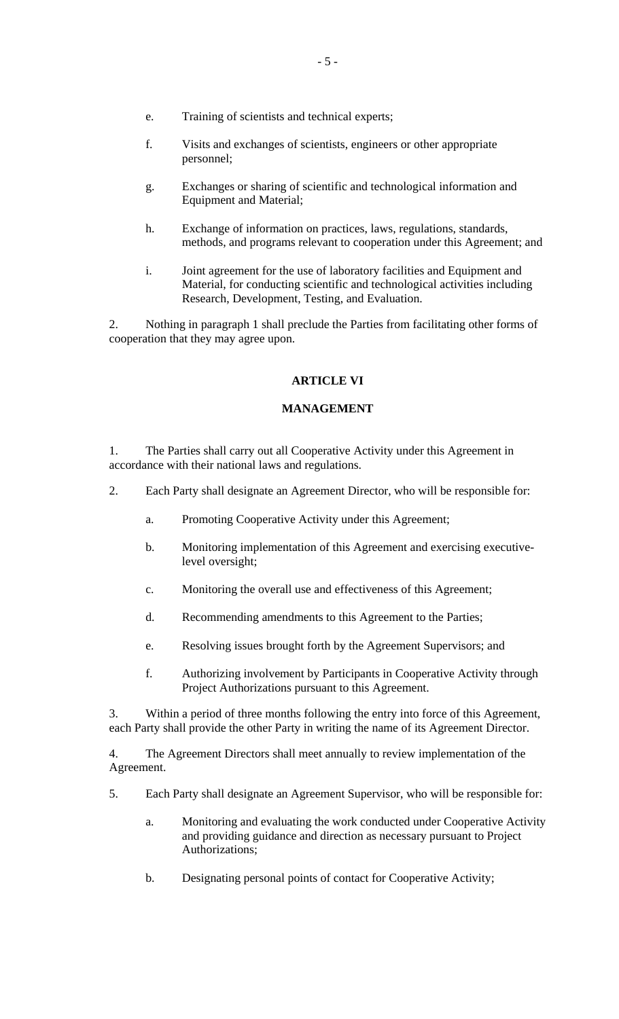- e. Training of scientists and technical experts;
- f. Visits and exchanges of scientists, engineers or other appropriate personnel;
- g. Exchanges or sharing of scientific and technological information and Equipment and Material;
- h. Exchange of information on practices, laws, regulations, standards, methods, and programs relevant to cooperation under this Agreement; and
- i. Joint agreement for the use of laboratory facilities and Equipment and Material, for conducting scientific and technological activities including Research, Development, Testing, and Evaluation.

2. Nothing in paragraph 1 shall preclude the Parties from facilitating other forms of cooperation that they may agree upon.

# **ARTICLE VI**

# **MANAGEMENT**

1. The Parties shall carry out all Cooperative Activity under this Agreement in accordance with their national laws and regulations.

- 2. Each Party shall designate an Agreement Director, who will be responsible for:
	- a. Promoting Cooperative Activity under this Agreement;
	- b. Monitoring implementation of this Agreement and exercising executivelevel oversight;
	- c. Monitoring the overall use and effectiveness of this Agreement;
	- d. Recommending amendments to this Agreement to the Parties;
	- e. Resolving issues brought forth by the Agreement Supervisors; and
	- f. Authorizing involvement by Participants in Cooperative Activity through Project Authorizations pursuant to this Agreement.

3. Within a period of three months following the entry into force of this Agreement, each Party shall provide the other Party in writing the name of its Agreement Director.

4. The Agreement Directors shall meet annually to review implementation of the Agreement.

- 5. Each Party shall designate an Agreement Supervisor, who will be responsible for:
	- a. Monitoring and evaluating the work conducted under Cooperative Activity and providing guidance and direction as necessary pursuant to Project Authorizations;
	- b. Designating personal points of contact for Cooperative Activity;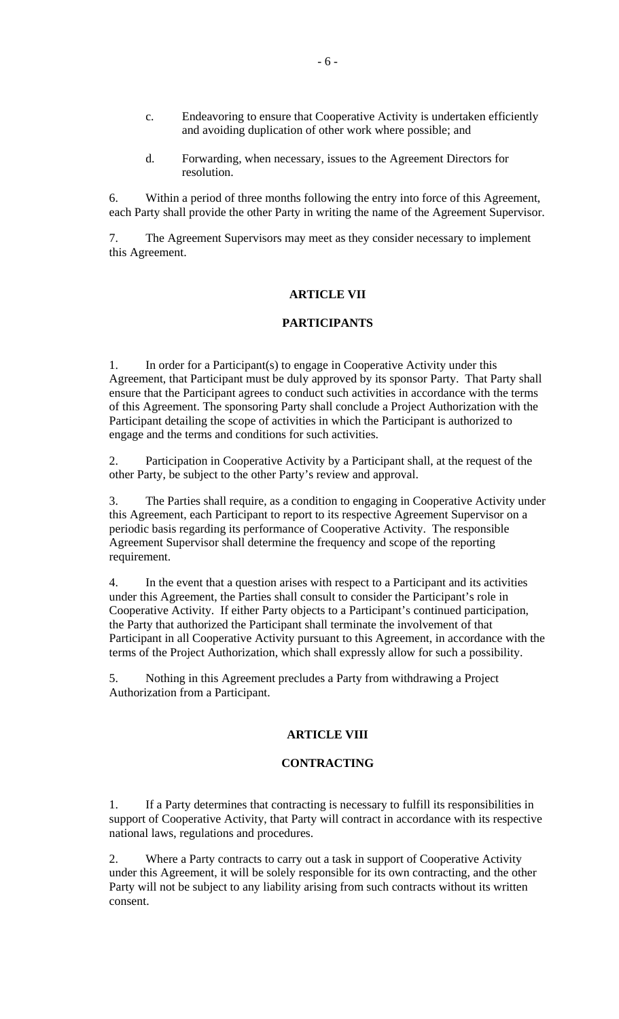- c. Endeavoring to ensure that Cooperative Activity is undertaken efficiently and avoiding duplication of other work where possible; and
- d. Forwarding, when necessary, issues to the Agreement Directors for resolution.

6. Within a period of three months following the entry into force of this Agreement, each Party shall provide the other Party in writing the name of the Agreement Supervisor.

7. The Agreement Supervisors may meet as they consider necessary to implement this Agreement.

#### **ARTICLE VII**

### **PARTICIPANTS**

1. In order for a Participant(s) to engage in Cooperative Activity under this Agreement, that Participant must be duly approved by its sponsor Party. That Party shall ensure that the Participant agrees to conduct such activities in accordance with the terms of this Agreement. The sponsoring Party shall conclude a Project Authorization with the Participant detailing the scope of activities in which the Participant is authorized to engage and the terms and conditions for such activities.

2. Participation in Cooperative Activity by a Participant shall, at the request of the other Party, be subject to the other Party's review and approval.

3. The Parties shall require, as a condition to engaging in Cooperative Activity under this Agreement, each Participant to report to its respective Agreement Supervisor on a periodic basis regarding its performance of Cooperative Activity. The responsible Agreement Supervisor shall determine the frequency and scope of the reporting requirement.

4. In the event that a question arises with respect to a Participant and its activities under this Agreement, the Parties shall consult to consider the Participant's role in Cooperative Activity. If either Party objects to a Participant's continued participation, the Party that authorized the Participant shall terminate the involvement of that Participant in all Cooperative Activity pursuant to this Agreement, in accordance with the terms of the Project Authorization, which shall expressly allow for such a possibility.

5. Nothing in this Agreement precludes a Party from withdrawing a Project Authorization from a Participant.

#### **ARTICLE VIII**

#### **CONTRACTING**

1. If a Party determines that contracting is necessary to fulfill its responsibilities in support of Cooperative Activity, that Party will contract in accordance with its respective national laws, regulations and procedures.

2. Where a Party contracts to carry out a task in support of Cooperative Activity under this Agreement, it will be solely responsible for its own contracting, and the other Party will not be subject to any liability arising from such contracts without its written consent.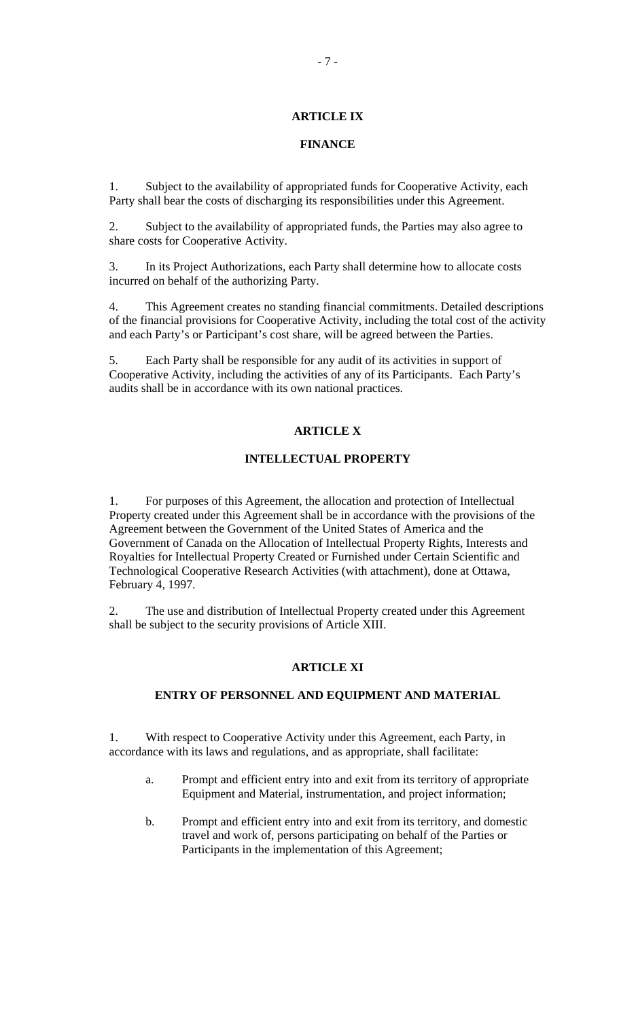# **ARTICLE IX**

## **FINANCE**

1. Subject to the availability of appropriated funds for Cooperative Activity, each Party shall bear the costs of discharging its responsibilities under this Agreement.

2. Subject to the availability of appropriated funds, the Parties may also agree to share costs for Cooperative Activity.

3. In its Project Authorizations, each Party shall determine how to allocate costs incurred on behalf of the authorizing Party.

4. This Agreement creates no standing financial commitments. Detailed descriptions of the financial provisions for Cooperative Activity, including the total cost of the activity and each Party's or Participant's cost share, will be agreed between the Parties.

5. Each Party shall be responsible for any audit of its activities in support of Cooperative Activity, including the activities of any of its Participants. Each Party's audits shall be in accordance with its own national practices.

#### **ARTICLE X**

#### **INTELLECTUAL PROPERTY**

1. For purposes of this Agreement, the allocation and protection of Intellectual Property created under this Agreement shall be in accordance with the provisions of the Agreement between the Government of the United States of America and the Government of Canada on the Allocation of Intellectual Property Rights, Interests and Royalties for Intellectual Property Created or Furnished under Certain Scientific and Technological Cooperative Research Activities (with attachment), done at Ottawa, February 4, 1997.

2. The use and distribution of Intellectual Property created under this Agreement shall be subject to the security provisions of Article XIII.

## **ARTICLE XI**

## **ENTRY OF PERSONNEL AND EQUIPMENT AND MATERIAL**

1. With respect to Cooperative Activity under this Agreement, each Party, in accordance with its laws and regulations, and as appropriate, shall facilitate:

- a. Prompt and efficient entry into and exit from its territory of appropriate Equipment and Material, instrumentation, and project information;
- b. Prompt and efficient entry into and exit from its territory, and domestic travel and work of, persons participating on behalf of the Parties or Participants in the implementation of this Agreement;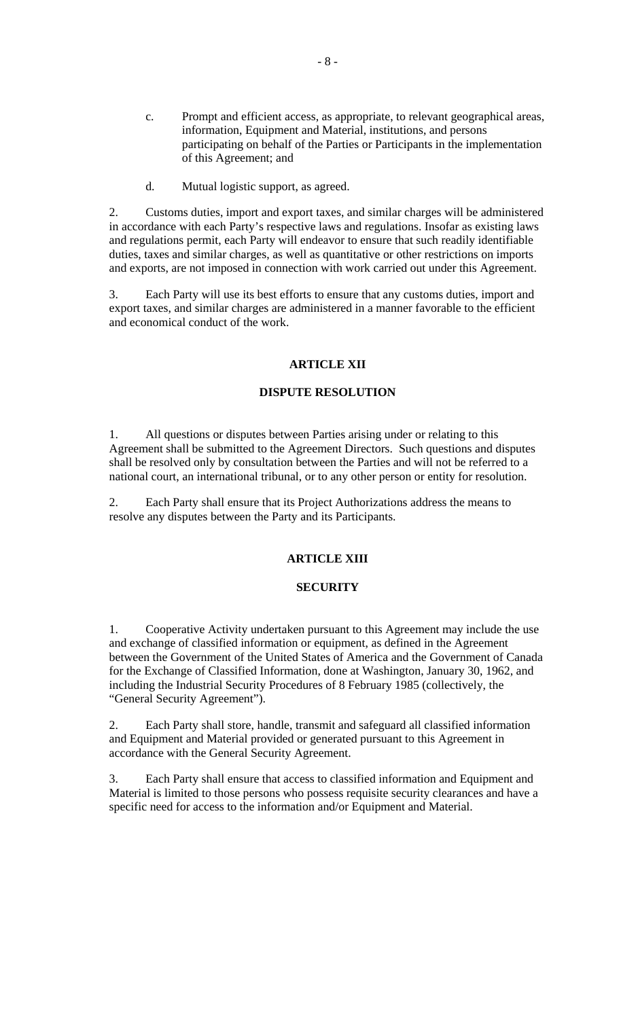- c. Prompt and efficient access, as appropriate, to relevant geographical areas, information, Equipment and Material, institutions, and persons participating on behalf of the Parties or Participants in the implementation of this Agreement; and
- d. Mutual logistic support, as agreed.

2. Customs duties, import and export taxes, and similar charges will be administered in accordance with each Party's respective laws and regulations. Insofar as existing laws and regulations permit, each Party will endeavor to ensure that such readily identifiable duties, taxes and similar charges, as well as quantitative or other restrictions on imports and exports, are not imposed in connection with work carried out under this Agreement.

3. Each Party will use its best efforts to ensure that any customs duties, import and export taxes, and similar charges are administered in a manner favorable to the efficient and economical conduct of the work.

## **ARTICLE XII**

## **DISPUTE RESOLUTION**

1. All questions or disputes between Parties arising under or relating to this Agreement shall be submitted to the Agreement Directors. Such questions and disputes shall be resolved only by consultation between the Parties and will not be referred to a national court, an international tribunal, or to any other person or entity for resolution.

2. Each Party shall ensure that its Project Authorizations address the means to resolve any disputes between the Party and its Participants.

# **ARTICLE XIII**

## **SECURITY**

1. Cooperative Activity undertaken pursuant to this Agreement may include the use and exchange of classified information or equipment, as defined in the Agreement between the Government of the United States of America and the Government of Canada for the Exchange of Classified Information, done at Washington, January 30, 1962, and including the Industrial Security Procedures of 8 February 1985 (collectively, the "General Security Agreement").

2. Each Party shall store, handle, transmit and safeguard all classified information and Equipment and Material provided or generated pursuant to this Agreement in accordance with the General Security Agreement.

3. Each Party shall ensure that access to classified information and Equipment and Material is limited to those persons who possess requisite security clearances and have a specific need for access to the information and/or Equipment and Material.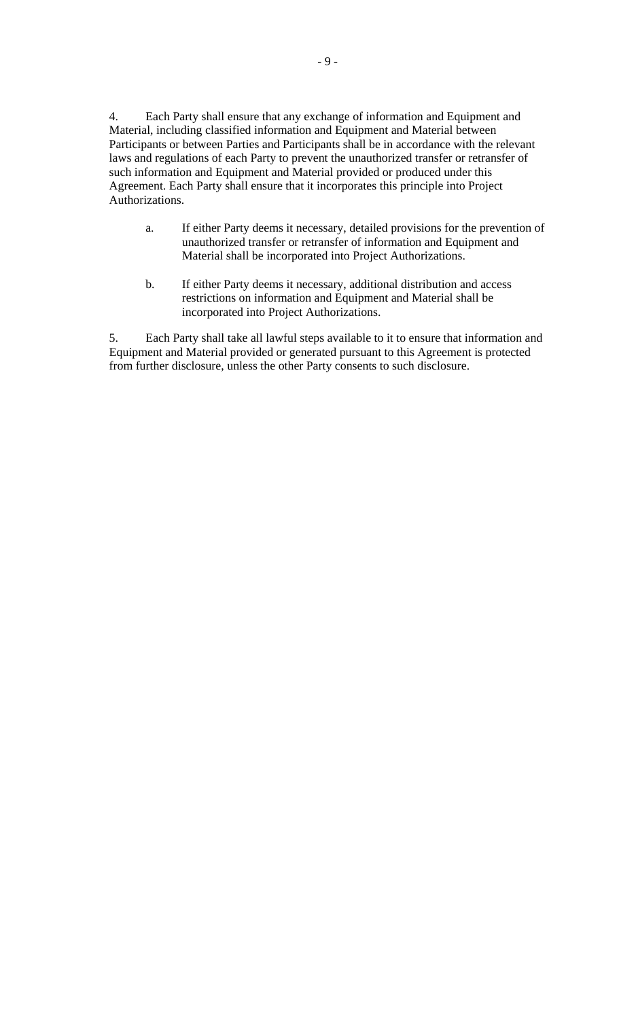4. Each Party shall ensure that any exchange of information and Equipment and Material, including classified information and Equipment and Material between Participants or between Parties and Participants shall be in accordance with the relevant laws and regulations of each Party to prevent the unauthorized transfer or retransfer of such information and Equipment and Material provided or produced under this Agreement. Each Party shall ensure that it incorporates this principle into Project Authorizations.

- a. If either Party deems it necessary, detailed provisions for the prevention of unauthorized transfer or retransfer of information and Equipment and Material shall be incorporated into Project Authorizations.
- b. If either Party deems it necessary, additional distribution and access restrictions on information and Equipment and Material shall be incorporated into Project Authorizations.

5. Each Party shall take all lawful steps available to it to ensure that information and Equipment and Material provided or generated pursuant to this Agreement is protected from further disclosure, unless the other Party consents to such disclosure.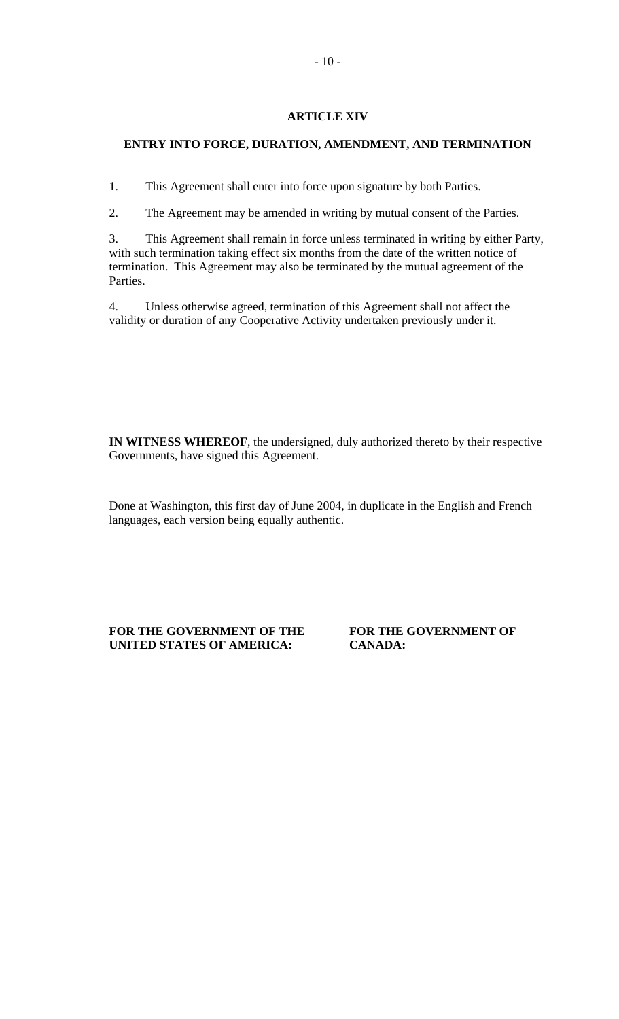# **ARTICLE XIV**

## **ENTRY INTO FORCE, DURATION, AMENDMENT, AND TERMINATION**

1. This Agreement shall enter into force upon signature by both Parties.

2. The Agreement may be amended in writing by mutual consent of the Parties.

3. This Agreement shall remain in force unless terminated in writing by either Party, with such termination taking effect six months from the date of the written notice of termination. This Agreement may also be terminated by the mutual agreement of the Parties.

4. Unless otherwise agreed, termination of this Agreement shall not affect the validity or duration of any Cooperative Activity undertaken previously under it.

**IN WITNESS WHEREOF**, the undersigned, duly authorized thereto by their respective Governments, have signed this Agreement.

Done at Washington, this first day of June 2004, in duplicate in the English and French languages, each version being equally authentic.

FOR THE GOVERNMENT OF THE **FOR THE GOVERNMENT OF UNITED STATES OF AMERICA: CANADA:**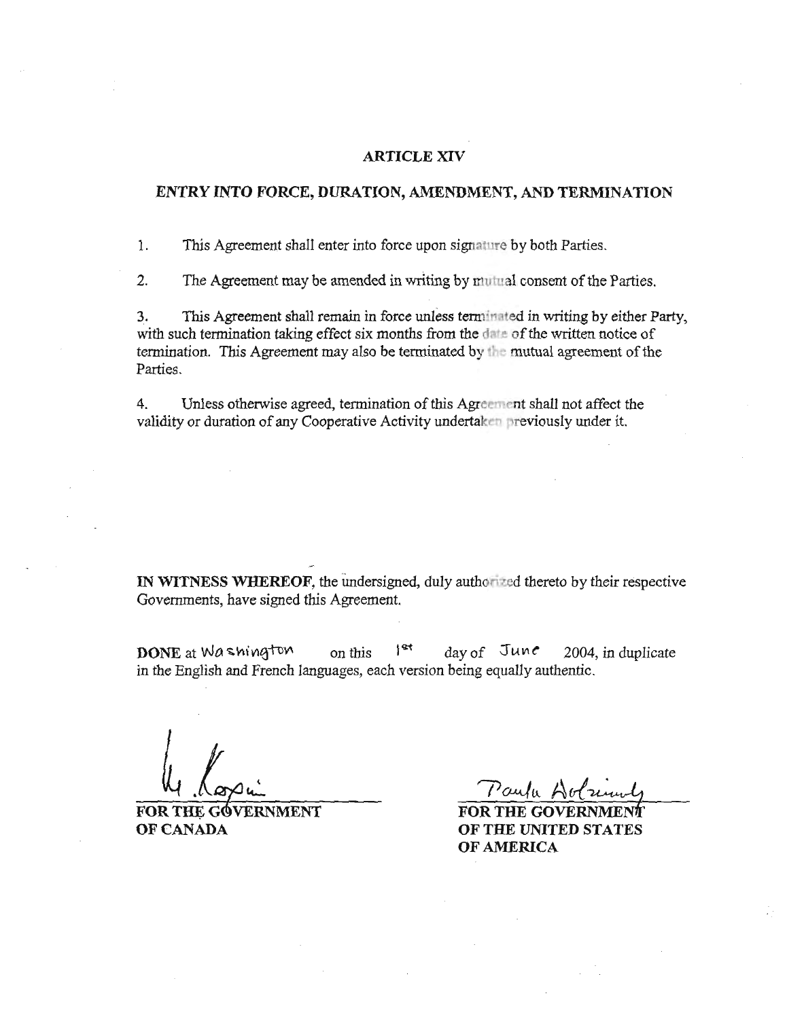#### **ARTICLE XIV**

#### ENTRY INTO FORCE, DURATION, AMENDMENT, AND TERMINATION

1. This Agreement shall enter into force upon signature by both Parties.

 $2.$ The Agreement may be amended in writing by mutual consent of the Parties.

This Agreement shall remain in force unless terminated in writing by either Party, 3. with such termination taking effect six months from the date of the written notice of termination. This Agreement may also be terminated by the mutual agreement of the Parties.

4. Unless otherwise agreed, termination of this Agreement shall not affect the validity or duration of any Cooperative Activity undertaken previously under it.

IN WITNESS WHEREOF, the undersigned, duly authorized thereto by their respective Governments, have signed this Agreement.

DONE at Washington  $|st$ on this day of June 2004, in duplicate in the English and French languages, each version being equally authentic.

FOR THE GOVERNMENT OF CANADA

Paulu A

**FOR THE GOVER** OF THE UNITED STATES OF AMERICA